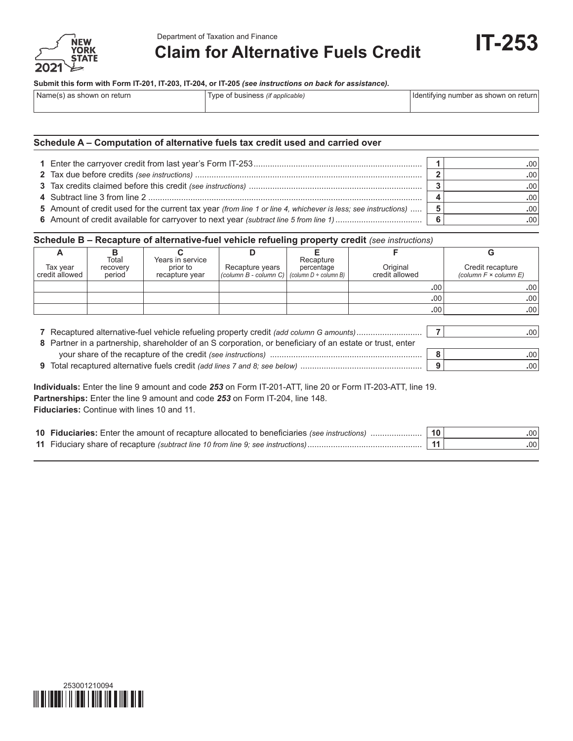

**Claim for Alternative Fuels Credit**

**IT-253**

| Name(s) as shown on return | Type of business <i>(if applicable)</i> | Identifying number as shown on return |  |
|----------------------------|-----------------------------------------|---------------------------------------|--|
|                            |                                         |                                       |  |

## **Schedule A – Computation of alternative fuels tax credit used and carried over**

| 5 Amount of credit used for the current tax year (from line 1 or line 4, whichever is less; see instructions) | 5 |  |
|---------------------------------------------------------------------------------------------------------------|---|--|
|                                                                                                               |   |  |

### **Schedule B – Recapture of alternative-fuel vehicle refueling property credit** *(see instructions)*

| А                                                                                                                                                                                                                                                                                                                                                        | в        | C.               | D                     | F.                         |                | G                               |
|----------------------------------------------------------------------------------------------------------------------------------------------------------------------------------------------------------------------------------------------------------------------------------------------------------------------------------------------------------|----------|------------------|-----------------------|----------------------------|----------------|---------------------------------|
|                                                                                                                                                                                                                                                                                                                                                          | Total    | Years in service |                       | Recapture                  |                |                                 |
| Tax year                                                                                                                                                                                                                                                                                                                                                 | recovery | prior to         | Recapture years       | percentage                 | Original       | Credit recapture                |
| credit allowed                                                                                                                                                                                                                                                                                                                                           | period   | recapture year   | (column B - column C) | (column $D \div$ column B) | credit allowed | (column $F \times$ column $E$ ) |
|                                                                                                                                                                                                                                                                                                                                                          |          |                  |                       |                            | .00            | .00.                            |
|                                                                                                                                                                                                                                                                                                                                                          |          |                  |                       |                            | .00            | .00                             |
|                                                                                                                                                                                                                                                                                                                                                          |          |                  |                       |                            | .00            | .00.                            |
| 7 Recaptured alternative-fuel vehicle refueling property credit (add column G amounts)<br>.00<br>8 Partner in a partnership, shareholder of an S corporation, or beneficiary of an estate or trust, enter<br>8<br>.00.<br>9<br>.00.<br><b>Individuals:</b> Enter the line 9 amount and code 253 on Form IT-201-ATT, line 20 or Form IT-203-ATT, line 19. |          |                  |                       |                            |                |                                 |
| <b>Partnerships:</b> Enter the line 9 amount and code 253 on Form IT-204, line 148.<br><b>Fiduciaries:</b> Continue with lines 10 and 11.                                                                                                                                                                                                                |          |                  |                       |                            |                |                                 |

| 10 Fiduciaries: Enter the amount of recapture allocated to beneficiaries (see instructions) | .001             |
|---------------------------------------------------------------------------------------------|------------------|
| 11 Fiduciary share of recapture (subtract line 10 from line 9; see instructions)            | .00 <sup>1</sup> |